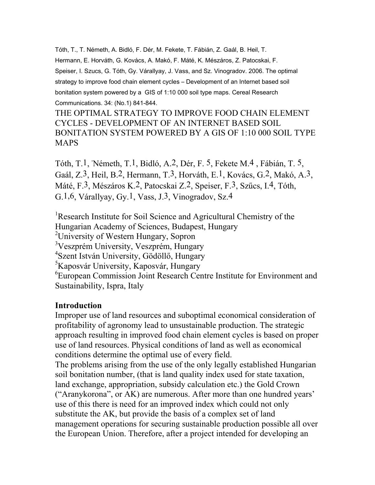Tóth, T., T. Németh, A. Bidló, F. Dér, M. Fekete, T. Fábián, Z. Gaál, B. Heil, T. Hermann, E. Horváth, G. Kovács, A. Makó, F. Máté, K. Mészáros, Z. Patocskai, F. Speiser, I. Szucs, G. Tóth, Gy. Várallyay, J. Vass, and Sz. Vinogradov. 2006. The optimal strategy to improve food chain element cycles – Development of an Internet based soil bonitation system powered by a GIS of 1:10 000 soil type maps. Cereal Research Communications. 34: (No.1) 841-844.

THE OPTIMAL STRATEGY TO IMPROVE FOOD CHAIN ELEMENT CYCLES - DEVELOPMENT OF AN INTERNET BASED SOIL BONITATION SYSTEM POWERED BY A GIS OF 1:10 000 SOIL TYPE MAPS

Tóth, T.1, , Németh, T.1, Bidló, A.2, Dér, F. 5, Fekete M.4 , Fábián, T. 5, Gaál, Z.3, Heil, B.2, Hermann, T.3, Horváth, E.1, Kovács, G.2, Makó, A.3, Máté, F.3, Mészáros K.2, Patocskai Z.2, Speiser, F.3, Szűcs, I.4, Tóth, G.1,6, Várallyay, Gy.1, Vass, J.3, Vinogradov, Sz.4

<sup>1</sup>Research Institute for Soil Science and Agricultural Chemistry of the Hungarian Academy of Sciences, Budapest, Hungary <sup>2</sup> University of Western Hungary, Sopron 3 Veszprém University, Veszprém, Hungary 4 Szent István University, Gödöllő, Hungary 5 Kaposvár University, Kaposvár, Hungary 6 European Commission Joint Research Centre Institute for Environment and Sustainability, Ispra, Italy

### **Introduction**

Improper use of land resources and suboptimal economical consideration of profitability of agronomy lead to unsustainable production. The strategic approach resulting in improved food chain element cycles is based on proper use of land resources. Physical conditions of land as well as economical conditions determine the optimal use of every field.

The problems arising from the use of the only legally established Hungarian soil bonitation number, (that is land quality index used for state taxation, land exchange, appropriation, subsidy calculation etc.) the Gold Crown ("Aranykorona", or AK) are numerous. After more than one hundred years' use of this there is need for an improved index which could not only substitute the AK, but provide the basis of a complex set of land management operations for securing sustainable production possible all over the European Union. Therefore, after a project intended for developing an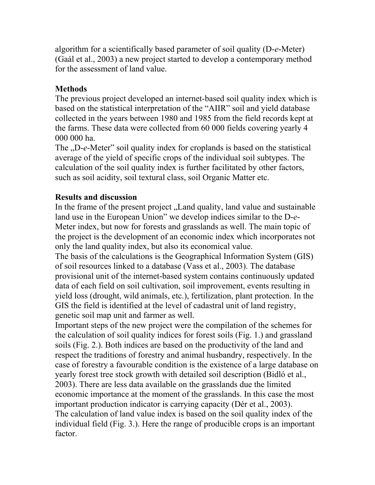algorithm for a scientifically based parameter of soil quality (D-*e*-Meter) (Gaál et al., 2003) a new project started to develop a contemporary method for the assessment of land value.

# **Methods**

The previous project developed an internet-based soil quality index which is based on the statistical interpretation of the "AIIR" soil and yield database collected in the years between 1980 and 1985 from the field records kept at the farms. These data were collected from 60 000 fields covering yearly 4 000 000 ha.

The <sub>v</sub>D-*e*-Meter" soil quality index for croplands is based on the statistical average of the yield of specific crops of the individual soil subtypes. The calculation of the soil quality index is further facilitated by other factors, such as soil acidity, soil textural class, soil Organic Matter etc.

## **Results and discussion**

In the frame of the present project "Land quality, land value and sustainable land use in the European Union" we develop indices similar to the D-*e*-Meter index, but now for forests and grasslands as well. The main topic of the project is the development of an economic index which incorporates not only the land quality index, but also its economical value.

The basis of the calculations is the Geographical Information System (GIS) of soil resources linked to a database (Vass et al., 2003). The database provisional unit of the internet-based system contains continuously updated data of each field on soil cultivation, soil improvement, events resulting in yield loss (drought, wild animals, etc.), fertilization, plant protection. In the GIS the field is identified at the level of cadastral unit of land registry, genetic soil map unit and farmer as well.

Important steps of the new project were the compilation of the schemes for the calculation of soil quality indices for forest soils (Fig. 1.) and grassland soils (Fig. 2.). Both indices are based on the productivity of the land and respect the traditions of forestry and animal husbandry, respectively. In the case of forestry a favourable condition is the existence of a large database on yearly forest tree stock growth with detailed soil description (Bidló et al., 2003). There are less data available on the grasslands due the limited economic importance at the moment of the grasslands. In this case the most important production indicator is carrying capacity (Dér et al., 2003). The calculation of land value index is based on the soil quality index of the individual field (Fig. 3.). Here the range of producible crops is an important factor.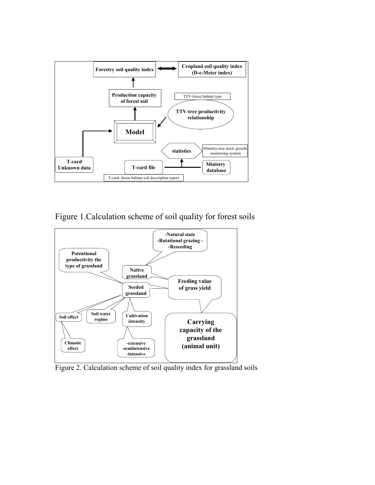

Figure 1.Calculation scheme of soil quality for forest soils



Figure 2. Calculation scheme of soil quality index for grassland soils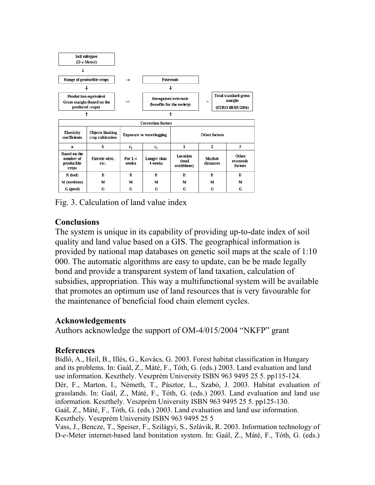| Soil subtypes<br>$(D-e-Meter)$                                         |                                             |                    |                                                           |                                         |                            |                                                            |                              |
|------------------------------------------------------------------------|---------------------------------------------|--------------------|-----------------------------------------------------------|-----------------------------------------|----------------------------|------------------------------------------------------------|------------------------------|
|                                                                        |                                             |                    |                                                           |                                         |                            |                                                            |                              |
| Range of producible crops                                              |                                             | $\rightarrow$      | <b>Externals</b>                                          |                                         |                            |                                                            |                              |
|                                                                        |                                             |                    |                                                           |                                         |                            |                                                            |                              |
| Production equivalent<br>Gross margin (based on the<br>produced crops) |                                             | $+/-$              | <b>Recognized externals</b><br>(benefits for the society) |                                         | $=$                        | <b>Total standard gross</b><br>margin<br>(EURO 08/05/2004) |                              |
| ↑                                                                      |                                             |                    |                                                           |                                         |                            |                                                            |                              |
|                                                                        |                                             |                    | <b>Correction factors</b>                                 |                                         |                            |                                                            |                              |
| <b>Elasticity</b><br>coefficients                                      | <b>Objects limiting</b><br>crop cultivation |                    | <b>Exposure to waterlogging</b>                           | Other factors                           |                            |                                                            |                              |
| a                                                                      | b                                           | $c_{1}$            | c <sub>2</sub>                                            | 1                                       | $\overline{2}$             |                                                            | 3                            |
| <b>Based on the</b><br>number of<br>producible<br>crops                | Electric wire,<br>etc.                      | $For 1-4$<br>weeks | Longer than<br>4 weeks                                    | <b>Location</b><br>(road<br>conditions) | <b>Market</b><br>distances |                                                            | Other<br>economic<br>factors |
| B (bad)                                                                | В                                           | B                  | B                                                         | в                                       | в                          |                                                            | B                            |
| M (medium)                                                             | M                                           | м                  | м                                                         | м                                       | M                          |                                                            | м                            |
| G (good)                                                               | G                                           | G                  | G                                                         | G                                       | G                          |                                                            | G                            |

Fig. 3. Calculation of land value index

# **Conclusions**

The system is unique in its capability of providing up-to-date index of soil quality and land value based on a GIS. The geographical information is provided by national map databases on genetic soil maps at the scale of 1:10 000. The automatic algorithms are easy to update, can be be made legally bond and provide a transparent system of land taxation, calculation of subsidies, appropriation. This way a multifunctional system will be available that promotes an optimum use of land resources that is very favourable for the maintenance of beneficial food chain element cycles.

## **Acknowledgements**

Authors acknowledge the support of OM-4/015/2004 "NKFP" grant

### **References**

Bidló, A., Heil, B., Illés, G., Kovács, G. 2003. Forest habitat classification in Hungary and its problems. In: Gaál, Z., Máté, F., Tóth, G. (eds.) 2003. Land evaluation and land use information. Keszthely. Veszprém University ISBN 963 9495 25 5. pp115-124. Dér, F., Marton, I., Németh, T., Pásztor, L., Szabó, J. 2003. Habitat evaluation of grasslands. In: Gaál, Z., Máté, F., Tóth, G. (eds.) 2003. Land evaluation and land use information. Keszthely. Veszprém University ISBN 963 9495 25 5. pp125-130. Gaál, Z., Máté, F., Tóth, G. (eds.) 2003. Land evaluation and land use information. Keszthely. Veszprém University ISBN 963 9495 25 5 Vass, J., Bencze, T., Speiser, F., Szilágyi, S., Szlávik, R. 2003. Information technology of D-*e*-Meter internet-based land bonitation system. In: Gaál, Z., Máté, F., Tóth, G. (eds.)